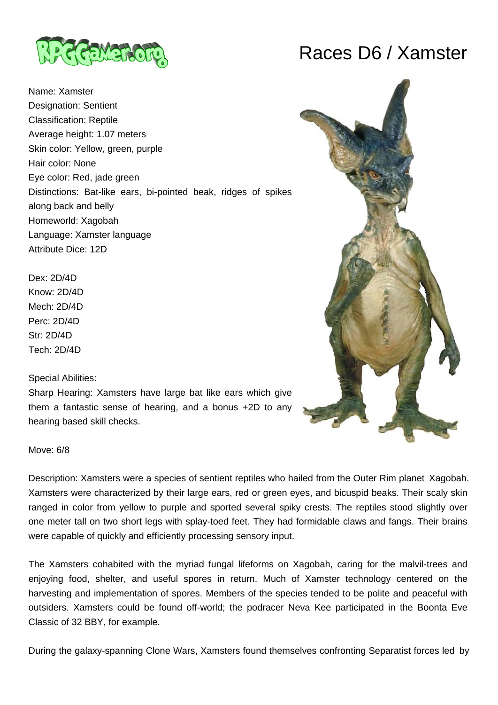

Name: Xamster Designation: Sentient Classification: Reptile Average height: 1.07 meters Skin color: Yellow, green, purple Hair color: None Eye color: Red, jade green Distinctions: Bat-like ears, bi-pointed beak, ridges of spikes along back and belly Homeworld: Xagobah Language: Xamster language Attribute Dice: 12D

Dex: 2D/4D Know: 2D/4D Mech: 2D/4D Perc: 2D/4D Str: 2D/4D Tech: 2D/4D

Special Abilities:

Sharp Hearing: Xamsters have large bat like ears which give them a fantastic sense of hearing, and a bonus +2D to any hearing based skill checks.





Move: 6/8

Description: Xamsters were a species of sentient reptiles who hailed from the Outer Rim planet Xagobah. Xamsters were characterized by their large ears, red or green eyes, and bicuspid beaks. Their scaly skin ranged in color from yellow to purple and sported several spiky crests. The reptiles stood slightly over one meter tall on two short legs with splay-toed feet. They had formidable claws and fangs. Their brains were capable of quickly and efficiently processing sensory input.

The Xamsters cohabited with the myriad fungal lifeforms on Xagobah, caring for the malvil-trees and enjoying food, shelter, and useful spores in return. Much of Xamster technology centered on the harvesting and implementation of spores. Members of the species tended to be polite and peaceful with outsiders. Xamsters could be found off-world; the podracer Neva Kee participated in the Boonta Eve Classic of 32 BBY, for example.

During the galaxy-spanning Clone Wars, Xamsters found themselves confronting Separatist forces led by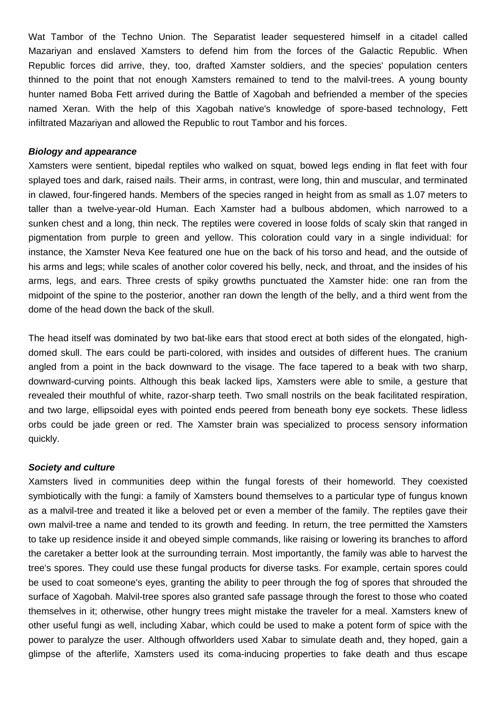Wat Tambor of the Techno Union. The Separatist leader sequestered himself in a citadel called Mazariyan and enslaved Xamsters to defend him from the forces of the Galactic Republic. When Republic forces did arrive, they, too, drafted Xamster soldiers, and the species' population centers thinned to the point that not enough Xamsters remained to tend to the malvil-trees. A young bounty hunter named Boba Fett arrived during the Battle of Xagobah and befriended a member of the species named Xeran. With the help of this Xagobah native's knowledge of spore-based technology, Fett infiltrated Mazariyan and allowed the Republic to rout Tambor and his forces.

### **Biology and appearance**

Xamsters were sentient, bipedal reptiles who walked on squat, bowed legs ending in flat feet with four splayed toes and dark, raised nails. Their arms, in contrast, were long, thin and muscular, and terminated in clawed, four-fingered hands. Members of the species ranged in height from as small as 1.07 meters to taller than a twelve-year-old Human. Each Xamster had a bulbous abdomen, which narrowed to a sunken chest and a long, thin neck. The reptiles were covered in loose folds of scaly skin that ranged in pigmentation from purple to green and yellow. This coloration could vary in a single individual: for instance, the Xamster Neva Kee featured one hue on the back of his torso and head, and the outside of his arms and legs; while scales of another color covered his belly, neck, and throat, and the insides of his arms, legs, and ears. Three crests of spiky growths punctuated the Xamster hide: one ran from the midpoint of the spine to the posterior, another ran down the length of the belly, and a third went from the dome of the head down the back of the skull.

The head itself was dominated by two bat-like ears that stood erect at both sides of the elongated, highdomed skull. The ears could be parti-colored, with insides and outsides of different hues. The cranium angled from a point in the back downward to the visage. The face tapered to a beak with two sharp, downward-curving points. Although this beak lacked lips, Xamsters were able to smile, a gesture that revealed their mouthful of white, razor-sharp teeth. Two small nostrils on the beak facilitated respiration, and two large, ellipsoidal eyes with pointed ends peered from beneath bony eye sockets. These lidless orbs could be jade green or red. The Xamster brain was specialized to process sensory information quickly.

### **Society and culture**

Xamsters lived in communities deep within the fungal forests of their homeworld. They coexisted symbiotically with the fungi: a family of Xamsters bound themselves to a particular type of fungus known as a malvil-tree and treated it like a beloved pet or even a member of the family. The reptiles gave their own malvil-tree a name and tended to its growth and feeding. In return, the tree permitted the Xamsters to take up residence inside it and obeyed simple commands, like raising or lowering its branches to afford the caretaker a better look at the surrounding terrain. Most importantly, the family was able to harvest the tree's spores. They could use these fungal products for diverse tasks. For example, certain spores could be used to coat someone's eyes, granting the ability to peer through the fog of spores that shrouded the surface of Xagobah. Malvil-tree spores also granted safe passage through the forest to those who coated themselves in it; otherwise, other hungry trees might mistake the traveler for a meal. Xamsters knew of other useful fungi as well, including Xabar, which could be used to make a potent form of spice with the power to paralyze the user. Although offworlders used Xabar to simulate death and, they hoped, gain a glimpse of the afterlife, Xamsters used its coma-inducing properties to fake death and thus escape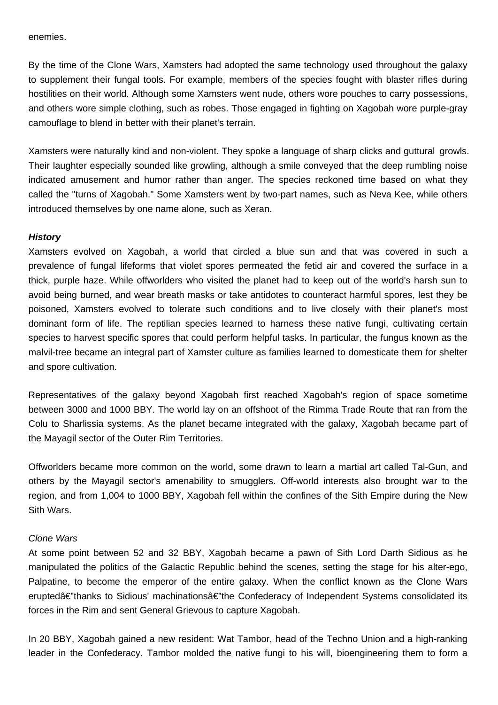enemies.

By the time of the Clone Wars, Xamsters had adopted the same technology used throughout the galaxy to supplement their fungal tools. For example, members of the species fought with blaster rifles during hostilities on their world. Although some Xamsters went nude, others wore pouches to carry possessions, and others wore simple clothing, such as robes. Those engaged in fighting on Xagobah wore purple-gray camouflage to blend in better with their planet's terrain.

Xamsters were naturally kind and non-violent. They spoke a language of sharp clicks and guttural growls. Their laughter especially sounded like growling, although a smile conveyed that the deep rumbling noise indicated amusement and humor rather than anger. The species reckoned time based on what they called the "turns of Xagobah." Some Xamsters went by two-part names, such as Neva Kee, while others introduced themselves by one name alone, such as Xeran.

### **History**

Xamsters evolved on Xagobah, a world that circled a blue sun and that was covered in such a prevalence of fungal lifeforms that violet spores permeated the fetid air and covered the surface in a thick, purple haze. While offworlders who visited the planet had to keep out of the world's harsh sun to avoid being burned, and wear breath masks or take antidotes to counteract harmful spores, lest they be poisoned, Xamsters evolved to tolerate such conditions and to live closely with their planet's most dominant form of life. The reptilian species learned to harness these native fungi, cultivating certain species to harvest specific spores that could perform helpful tasks. In particular, the fungus known as the malvil-tree became an integral part of Xamster culture as families learned to domesticate them for shelter and spore cultivation.

Representatives of the galaxy beyond Xagobah first reached Xagobah's region of space sometime between 3000 and 1000 BBY. The world lay on an offshoot of the Rimma Trade Route that ran from the Colu to Sharlissia systems. As the planet became integrated with the galaxy, Xagobah became part of the Mayagil sector of the Outer Rim Territories.

Offworlders became more common on the world, some drawn to learn a martial art called Tal-Gun, and others by the Mayagil sector's amenability to smugglers. Off-world interests also brought war to the region, and from 1,004 to 1000 BBY, Xagobah fell within the confines of the Sith Empire during the New Sith Wars.

### Clone Wars

At some point between 52 and 32 BBY, Xagobah became a pawn of Sith Lord Darth Sidious as he manipulated the politics of the Galactic Republic behind the scenes, setting the stage for his alter-ego, Palpatine, to become the emperor of the entire galaxy. When the conflict known as the Clone Wars eruptedâ€"thanks to Sidious' machinationsâ€"the Confederacy of Independent Systems consolidated its forces in the Rim and sent General Grievous to capture Xagobah.

In 20 BBY, Xagobah gained a new resident: Wat Tambor, head of the Techno Union and a high-ranking leader in the Confederacy. Tambor molded the native fungi to his will, bioengineering them to form a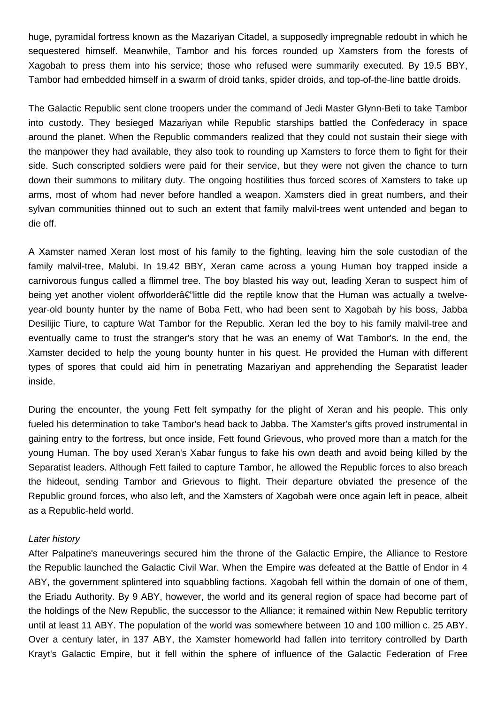huge, pyramidal fortress known as the Mazariyan Citadel, a supposedly impregnable redoubt in which he sequestered himself. Meanwhile, Tambor and his forces rounded up Xamsters from the forests of Xagobah to press them into his service; those who refused were summarily executed. By 19.5 BBY, Tambor had embedded himself in a swarm of droid tanks, spider droids, and top-of-the-line battle droids.

The Galactic Republic sent clone troopers under the command of Jedi Master Glynn-Beti to take Tambor into custody. They besieged Mazariyan while Republic starships battled the Confederacy in space around the planet. When the Republic commanders realized that they could not sustain their siege with the manpower they had available, they also took to rounding up Xamsters to force them to fight for their side. Such conscripted soldiers were paid for their service, but they were not given the chance to turn down their summons to military duty. The ongoing hostilities thus forced scores of Xamsters to take up arms, most of whom had never before handled a weapon. Xamsters died in great numbers, and their sylvan communities thinned out to such an extent that family malvil-trees went untended and began to die off.

A Xamster named Xeran lost most of his family to the fighting, leaving him the sole custodian of the family malvil-tree, Malubi. In 19.42 BBY, Xeran came across a young Human boy trapped inside a carnivorous fungus called a flimmel tree. The boy blasted his way out, leading Xeran to suspect him of being yet another violent offworlder $\hat{\bf a} \in \hat{\bf a}$  is the reptile know that the Human was actually a twelveyear-old bounty hunter by the name of Boba Fett, who had been sent to Xagobah by his boss, Jabba Desilijic Tiure, to capture Wat Tambor for the Republic. Xeran led the boy to his family malvil-tree and eventually came to trust the stranger's story that he was an enemy of Wat Tambor's. In the end, the Xamster decided to help the young bounty hunter in his quest. He provided the Human with different types of spores that could aid him in penetrating Mazariyan and apprehending the Separatist leader inside.

During the encounter, the young Fett felt sympathy for the plight of Xeran and his people. This only fueled his determination to take Tambor's head back to Jabba. The Xamster's gifts proved instrumental in gaining entry to the fortress, but once inside, Fett found Grievous, who proved more than a match for the young Human. The boy used Xeran's Xabar fungus to fake his own death and avoid being killed by the Separatist leaders. Although Fett failed to capture Tambor, he allowed the Republic forces to also breach the hideout, sending Tambor and Grievous to flight. Their departure obviated the presence of the Republic ground forces, who also left, and the Xamsters of Xagobah were once again left in peace, albeit as a Republic-held world.

# Later history

After Palpatine's maneuverings secured him the throne of the Galactic Empire, the Alliance to Restore the Republic launched the Galactic Civil War. When the Empire was defeated at the Battle of Endor in 4 ABY, the government splintered into squabbling factions. Xagobah fell within the domain of one of them, the Eriadu Authority. By 9 ABY, however, the world and its general region of space had become part of the holdings of the New Republic, the successor to the Alliance; it remained within New Republic territory until at least 11 ABY. The population of the world was somewhere between 10 and 100 million c. 25 ABY. Over a century later, in 137 ABY, the Xamster homeworld had fallen into territory controlled by Darth Krayt's Galactic Empire, but it fell within the sphere of influence of the Galactic Federation of Free